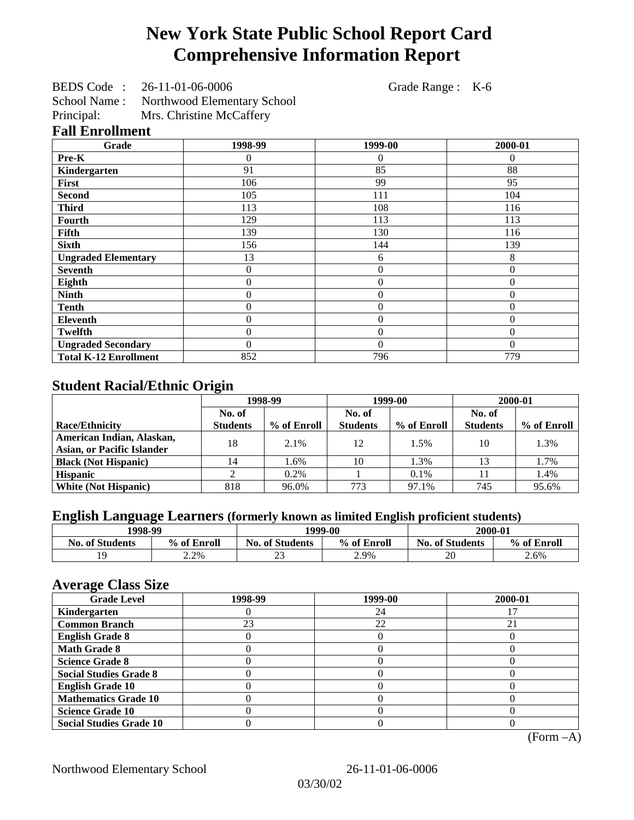# **New York State Public School Report Card Comprehensive Information Report**

BEDS Code : 26-11-01-06-0006 Grade Range : K-6 School Name : Northwood Elementary School Principal: Mrs. Christine McCaffery

**Fall Enrollment**

| Grade                        | 1998-99          | 1999-00          | 2000-01      |
|------------------------------|------------------|------------------|--------------|
| Pre-K                        | 0                | 0                | $\Omega$     |
| Kindergarten                 | 91               | 85               | 88           |
| First                        | 106              | 99               | 95           |
| <b>Second</b>                | 105              | 111              | 104          |
| <b>Third</b>                 | 113              | 108              | 116          |
| Fourth                       | 129              | 113              | 113          |
| Fifth                        | 139              | 130              | 116          |
| <b>Sixth</b>                 | 156              | 144              | 139          |
| <b>Ungraded Elementary</b>   | 13               | 6                | 8            |
| <b>Seventh</b>               | $\boldsymbol{0}$ | $\overline{0}$   | $\mathbf{0}$ |
| Eighth                       | $\overline{0}$   | $\mathbf{0}$     | $\mathbf{0}$ |
| <b>Ninth</b>                 | $\boldsymbol{0}$ | $\mathbf{0}$     | $\theta$     |
| <b>Tenth</b>                 | $\mathbf{0}$     | $\overline{0}$   | $\theta$     |
| Eleventh                     | 0                | $\boldsymbol{0}$ | $\theta$     |
| <b>Twelfth</b>               | $\boldsymbol{0}$ | $\boldsymbol{0}$ | $\Omega$     |
| <b>Ungraded Secondary</b>    | $\theta$         | $\theta$         | $\Omega$     |
| <b>Total K-12 Enrollment</b> | 852              | 796              | 779          |

## **Student Racial/Ethnic Origin**

|                                   | 1998-99         |             | 1999-00         |             | 2000-01         |             |
|-----------------------------------|-----------------|-------------|-----------------|-------------|-----------------|-------------|
|                                   | No. of          |             | No. of          |             | No. of          |             |
| Race/Ethnicity                    | <b>Students</b> | % of Enroll | <b>Students</b> | % of Enroll | <b>Students</b> | % of Enroll |
| American Indian, Alaskan,         | 18              | 2.1%        | 12              | 1.5%        | 10              | 1.3%        |
| <b>Asian, or Pacific Islander</b> |                 |             |                 |             |                 |             |
| <b>Black (Not Hispanic)</b>       | 14              | 1.6%        | 10              | 1.3%        |                 | 1.7%        |
| <b>Hispanic</b>                   |                 | 0.2%        |                 | 0.1%        |                 | 1.4%        |
| <b>White (Not Hispanic)</b>       | 818             | 96.0%       | 773             | 97.1%       | 745             | 95.6%       |

## **English Language Learners (formerly known as limited English proficient students)**

| 1998-99                |             | 1999-00                |             | 2000-01                |             |
|------------------------|-------------|------------------------|-------------|------------------------|-------------|
| <b>No. of Students</b> | % of Enroll | <b>No. of Students</b> | % of Enroll | <b>No. of Students</b> | % of Enroll |
|                        | 2.2%        | n n<br>سە              | 2.9%        | 20                     | 2.6%        |

#### **Average Class Size**

| $\sim$<br><b>Grade Level</b>   | 1998-99 | 1999-00 | 2000-01 |
|--------------------------------|---------|---------|---------|
| Kindergarten                   |         | 24      |         |
| <b>Common Branch</b>           | 23      | 22      | 21      |
| <b>English Grade 8</b>         |         |         |         |
| <b>Math Grade 8</b>            |         |         |         |
| <b>Science Grade 8</b>         |         |         |         |
| <b>Social Studies Grade 8</b>  |         |         |         |
| <b>English Grade 10</b>        |         |         |         |
| <b>Mathematics Grade 10</b>    |         |         |         |
| <b>Science Grade 10</b>        |         |         |         |
| <b>Social Studies Grade 10</b> |         |         |         |

(Form –A)